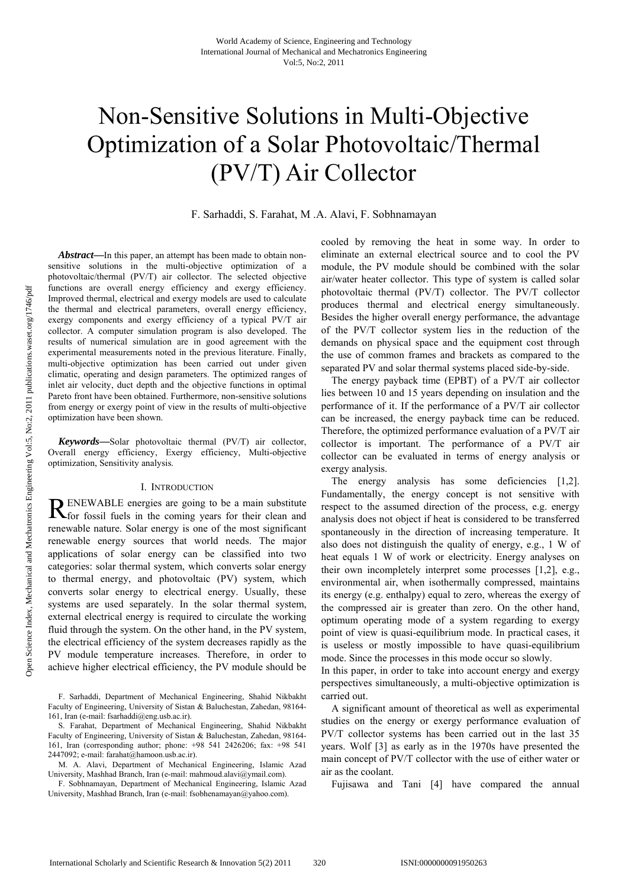# Non-Sensitive Solutions in Multi-Objective Optimization of a Solar Photovoltaic/Thermal (PV/T) Air Collector

F. Sarhaddi, S. Farahat, M .A. Alavi, F. Sobhnamayan

*Abstract***—**In this paper, an attempt has been made to obtain nonsensitive solutions in the multi-objective optimization of a photovoltaic/thermal (PV/T) air collector. The selected objective functions are overall energy efficiency and exergy efficiency. Improved thermal, electrical and exergy models are used to calculate the thermal and electrical parameters, overall energy efficiency, exergy components and exergy efficiency of a typical PV/T air collector. A computer simulation program is also developed. The results of numerical simulation are in good agreement with the experimental measurements noted in the previous literature. Finally, multi-objective optimization has been carried out under given climatic, operating and design parameters. The optimized ranges of inlet air velocity, duct depth and the objective functions in optimal Pareto front have been obtained. Furthermore, non-sensitive solutions from energy or exergy point of view in the results of multi-objective optimization have been shown.

*Keywords***—**Solar photovoltaic thermal (PV/T) air collector, Overall energy efficiency, Exergy efficiency, Multi-objective optimization, Sensitivity analysis.

#### I. INTRODUCTION

ENEWABLE energies are going to be a main substitute RENEWABLE energies are going to be a main substitute<br>
for fossil fuels in the coming years for their clean and renewable nature. Solar energy is one of the most significant renewable energy sources that world needs. The major applications of solar energy can be classified into two categories: solar thermal system, which converts solar energy to thermal energy, and photovoltaic (PV) system, which converts solar energy to electrical energy. Usually, these systems are used separately. In the solar thermal system, external electrical energy is required to circulate the working fluid through the system. On the other hand, in the PV system, the electrical efficiency of the system decreases rapidly as the PV module temperature increases. Therefore, in order to achieve higher electrical efficiency, the PV module should be

F. Sarhaddi, Department of Mechanical Engineering, Shahid Nikbakht Faculty of Engineering, University of Sistan & Baluchestan, Zahedan, 98164- 161, Iran (e-mail: fsarhaddi@eng.usb.ac.ir).

S. Farahat, Department of Mechanical Engineering, Shahid Nikbakht Faculty of Engineering, University of Sistan & Baluchestan, Zahedan, 98164- 161, Iran (corresponding author; phone: +98 541 2426206; fax: +98 541 2447092; e-mail: farahat@hamoon.usb.ac.ir).

M. A. Alavi, Department of Mechanical Engineering, Islamic Azad University, Mashhad Branch, Iran (e-mail: mahmoud.alavi@ymail.com).

F. Sobhnamayan, Department of Mechanical Engineering, Islamic Azad University, Mashhad Branch, Iran (e-mail: fsobhenamayan@yahoo.com).

cooled by removing the heat in some way. In order to eliminate an external electrical source and to cool the PV module, the PV module should be combined with the solar air/water heater collector. This type of system is called solar photovoltaic thermal (PV/T) collector. The PV/T collector produces thermal and electrical energy simultaneously. Besides the higher overall energy performance, the advantage of the PV/T collector system lies in the reduction of the demands on physical space and the equipment cost through the use of common frames and brackets as compared to the separated PV and solar thermal systems placed side-by-side.

The energy payback time (EPBT) of a PV/T air collector lies between 10 and 15 years depending on insulation and the performance of it. If the performance of a PV/T air collector can be increased, the energy payback time can be reduced. Therefore, the optimized performance evaluation of a PV/T air collector is important. The performance of a PV/T air collector can be evaluated in terms of energy analysis or exergy analysis.

The energy analysis has some deficiencies [1,2]. Fundamentally, the energy concept is not sensitive with respect to the assumed direction of the process, e.g. energy analysis does not object if heat is considered to be transferred spontaneously in the direction of increasing temperature. It also does not distinguish the quality of energy, e.g., 1 W of heat equals 1 W of work or electricity. Energy analyses on their own incompletely interpret some processes [1,2], e.g., environmental air, when isothermally compressed, maintains its energy (e.g. enthalpy) equal to zero, whereas the exergy of the compressed air is greater than zero. On the other hand, optimum operating mode of a system regarding to exergy point of view is quasi-equilibrium mode. In practical cases, it is useless or mostly impossible to have quasi-equilibrium mode. Since the processes in this mode occur so slowly.

In this paper, in order to take into account energy and exergy perspectives simultaneously, a multi-objective optimization is carried out.

A significant amount of theoretical as well as experimental studies on the energy or exergy performance evaluation of PV/T collector systems has been carried out in the last 35 years. Wolf [3] as early as in the 1970s have presented the main concept of PV/T collector with the use of either water or air as the coolant.

Fujisawa and Tani [4] have compared the annual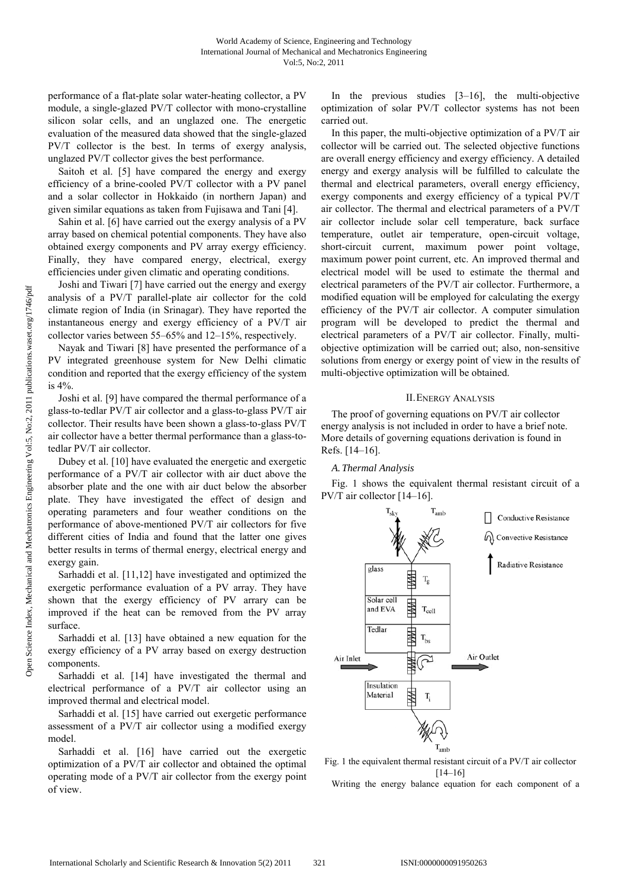performance of a flat-plate solar water-heating collector, a PV module, a single-glazed PV/T collector with mono-crystalline silicon solar cells, and an unglazed one. The energetic evaluation of the measured data showed that the single-glazed PV/T collector is the best. In terms of exergy analysis, unglazed PV/T collector gives the best performance.

Saitoh et al. [5] have compared the energy and exergy efficiency of a brine-cooled PV/T collector with a PV panel and a solar collector in Hokkaido (in northern Japan) and given similar equations as taken from Fujisawa and Tani [4].

Sahin et al. [6] have carried out the exergy analysis of a PV array based on chemical potential components. They have also obtained exergy components and PV array exergy efficiency. Finally, they have compared energy, electrical, exergy efficiencies under given climatic and operating conditions.

Joshi and Tiwari [7] have carried out the energy and exergy analysis of a PV/T parallel-plate air collector for the cold climate region of India (in Srinagar). They have reported the instantaneous energy and exergy efficiency of a PV/T air collector varies between 55–65% and 12–15%, respectively.

Nayak and Tiwari [8] have presented the performance of a PV integrated greenhouse system for New Delhi climatic condition and reported that the exergy efficiency of the system is 4%.

Joshi et al. [9] have compared the thermal performance of a glass-to-tedlar PV/T air collector and a glass-to-glass PV/T air collector. Their results have been shown a glass-to-glass PV/T air collector have a better thermal performance than a glass-totedlar PV/T air collector.

Dubey et al. [10] have evaluated the energetic and exergetic performance of a PV/T air collector with air duct above the absorber plate and the one with air duct below the absorber plate. They have investigated the effect of design and operating parameters and four weather conditions on the performance of above-mentioned PV/T air collectors for five different cities of India and found that the latter one gives better results in terms of thermal energy, electrical energy and exergy gain.

Sarhaddi et al. [11,12] have investigated and optimized the exergetic performance evaluation of a PV array. They have shown that the exergy efficiency of PV arrary can be improved if the heat can be removed from the PV array surface.

Sarhaddi et al. [13] have obtained a new equation for the exergy efficiency of a PV array based on exergy destruction components.

Sarhaddi et al. [14] have investigated the thermal and electrical performance of a PV/T air collector using an improved thermal and electrical model.

Sarhaddi et al. [15] have carried out exergetic performance assessment of a PV/T air collector using a modified exergy model.

Sarhaddi et al. [16] have carried out the exergetic optimization of a PV/T air collector and obtained the optimal operating mode of a PV/T air collector from the exergy point of view.

In the previous studies [3–16], the multi-objective optimization of solar PV/T collector systems has not been carried out.

In this paper, the multi-objective optimization of a PV/T air collector will be carried out. The selected objective functions are overall energy efficiency and exergy efficiency. A detailed energy and exergy analysis will be fulfilled to calculate the thermal and electrical parameters, overall energy efficiency, exergy components and exergy efficiency of a typical PV/T air collector. The thermal and electrical parameters of a PV/T air collector include solar cell temperature, back surface temperature, outlet air temperature, open-circuit voltage, short-circuit current, maximum power point voltage, maximum power point current, etc. An improved thermal and electrical model will be used to estimate the thermal and electrical parameters of the PV/T air collector. Furthermore, a modified equation will be employed for calculating the exergy efficiency of the PV/T air collector. A computer simulation program will be developed to predict the thermal and electrical parameters of a PV/T air collector. Finally, multiobjective optimization will be carried out; also, non-sensitive solutions from energy or exergy point of view in the results of multi-objective optimization will be obtained.

## II.ENERGY ANALYSIS

The proof of governing equations on PV/T air collector energy analysis is not included in order to have a brief note. More details of governing equations derivation is found in Refs. [14–16].

# *A.Thermal Analysis*

Fig. 1 shows the equivalent thermal resistant circuit of a PV/T air collector [14–16].



Fig. 1 the equivalent thermal resistant circuit of a PV/T air collector [14–16]

Writing the energy balance equation for each component of a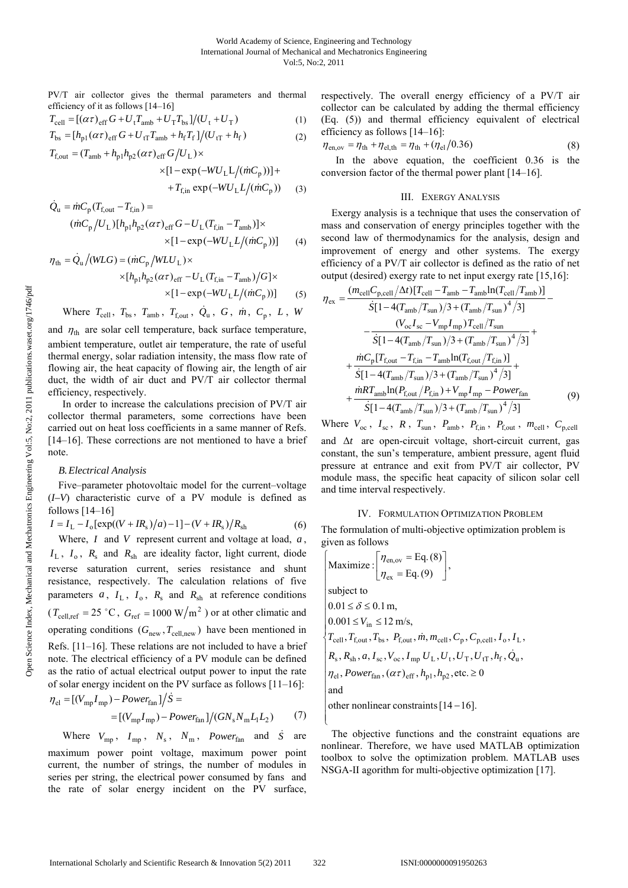PV/T air collector gives the thermal parameters and thermal efficiency of it as follows [14–16]

$$
T_{\text{cell}} = [(\alpha \tau)_{\text{eff}} G + U_{\text{t}} T_{\text{amb}} + U_{\text{T}} T_{\text{bs}}]/(U_{\text{t}} + U_{\text{T}})
$$
(1)

$$
T_{\text{bs}} = [h_{\text{p1}}(\alpha \tau)_{\text{eff}} G + U_{\text{tT}} T_{\text{amb}} + h_{\text{f}} T_{\text{f}}]/(U_{\text{tT}} + h_{\text{f}})
$$
(2)

$$
T_{\text{f,out}} = (T_{\text{amb}} + h_{\text{p1}} h_{\text{p2}} (\alpha \tau)_{\text{eff}} G/U_{\text{L}}) \times
$$
  
×[1-exp(-WU\_{\text{L}}L/(mC\_{\text{p}}))] +  
+T\_{\text{fin}} exp(-WU\_{\text{L}}L/(mC\_{\text{p}})) (3)

$$
\dot{Q}_{\rm u} = \dot{m}C_{\rm p}(T_{\rm f,out} - T_{\rm f,in}) =
$$
\n
$$
(\dot{m}C_{\rm p}/U_{\rm L})[h_{\rm p1}h_{\rm p2}(\alpha\tau)_{\rm eff}G - U_{\rm L}(T_{\rm f,in} - T_{\rm amb})] \times
$$
\n
$$
\times [1 - \exp(-WU_{\rm L}L/(\dot{m}C_{\rm p}))]
$$
\n(4)

$$
\eta_{\text{th}} = \dot{Q}_{\text{u}}/(WLG) = (\dot{m}C_{\text{p}}/WLU_{\text{L}}) \times
$$
  
 
$$
\times [h_{\text{p1}}h_{\text{p2}}(\alpha\tau)_{\text{eff}} - U_{\text{L}}(T_{\text{fin}} - T_{\text{amb}})/G] \times
$$
  
 
$$
\times [1 - \exp(-WU_{\text{L}}L/(\dot{m}C_{\text{p}}))]
$$
 (5)

Where 
$$
T_{cell}
$$
,  $T_{bs}$ ,  $T_{amb}$ ,  $T_{f,out}$ ,  $\dot{Q}_u$ ,  $G$ ,  $\dot{m}$ ,  $C_p$ ,  $L$ ,  $W$ 

and  $\eta_{\text{th}}$  are solar cell temperature, back surface temperature, ambient temperature, outlet air temperature, the rate of useful thermal energy, solar radiation intensity, the mass flow rate of flowing air, the heat capacity of flowing air, the length of air duct, the width of air duct and PV/T air collector thermal efficiency, respectively.

In order to increase the calculations precision of PV/T air collector thermal parameters, some corrections have been carried out on heat loss coefficients in a same manner of Refs. [14–16]. These corrections are not mentioned to have a brief note.

## *B.Electrical Analysis*

Five–parameter photovoltaic model for the current–voltage (*I–V*) characteristic curve of a PV module is defined as follows [14–16]

$$
I = I_{L} - I_{o}[\exp((V + IR_{s})/a) - 1] - (V + IR_{s})/R_{sh}
$$
(6)

Where, *I* and *V* represent current and voltage at load, *a* ,  $I_L$ ,  $I_o$ ,  $R_s$  and  $R_{sh}$  are ideality factor, light current, diode reverse saturation current, series resistance and shunt resistance, respectively. The calculation relations of five parameters  $a$ ,  $I_L$ ,  $I_o$ ,  $R_s$  and  $R_{sh}$  at reference conditions  $(T_{\text{cell,ref}} = 25 \text{ °C}, G_{\text{ref}} = 1000 \text{ W/m}^2 \text{ ) or at other climatic and}$ operating conditions  $(G_{\text{new}}, T_{\text{cell},\text{new}})$  have been mentioned in Refs. [11–16]. These relations are not included to have a brief note. The electrical efficiency of a PV module can be defined as the ratio of actual electrical output power to input the rate of solar energy incident on the PV surface as follows [11–16]:

$$
\eta_{\rm el} = [(V_{\rm mp}I_{\rm mp}) - Power_{\rm fan}] / \dot{S} =
$$
  
= [(V\_{\rm mp}I\_{\rm mp}) - Power\_{\rm fan}] / (GN\_{\rm s}N\_{\rm m}L\_{\rm l}L\_{2}) (7)

Where 
$$
V_{\text{mp}}
$$
,  $I_{\text{mp}}$ ,  $N_{\text{s}}$ ,  $N_{\text{m}}$ , *Power}\_{\text{fan}}* and  $\dot{S}$  are

maximum power point voltage, maximum power point current, the number of strings, the number of modules in series per string, the electrical power consumed by fans and the rate of solar energy incident on the PV surface, respectively. The overall energy efficiency of a PV/T air collector can be calculated by adding the thermal efficiency (Eq. (5)) and thermal efficiency equivalent of electrical efficiency as follows [14–16]:

$$
\eta_{\text{en},\text{ov}} = \eta_{\text{th}} + \eta_{\text{el},\text{th}} = \eta_{\text{th}} + (\eta_{\text{el}}/0.36) \tag{8}
$$

In the above equation, the coefficient 0.36 is the conversion factor of the thermal power plant [14–16].

## III. EXERGY ANALYSIS

Exergy analysis is a technique that uses the conservation of mass and conservation of energy principles together with the second law of thermodynamics for the analysis, design and improvement of energy and other systems. The exergy efficiency of a PV/T air collector is defined as the ratio of net output (desired) exergy rate to net input exergy rate [15,16]:

$$
\eta_{\text{ex}} = \frac{(m_{\text{cell}}C_{\text{p,cell}}/\Delta t)[T_{\text{cell}} - T_{\text{amb}} - T_{\text{amb}}\ln(T_{\text{cell}}/T_{\text{amb}})]}{\dot{S}[1 - 4(T_{\text{amb}}/T_{\text{sun}})/3 + (T_{\text{amb}}/T_{\text{sun}})^{4}/3]} - \frac{(V_{\text{oc}}I_{\text{sc}} - V_{\text{mp}}I_{\text{mp}})T_{\text{cell}}/T_{\text{sun}}}{\dot{S}[1 - 4(T_{\text{amb}}/T_{\text{sun}})/3 + (T_{\text{amb}}/T_{\text{sun}})^{4}/3]} + \frac{\dot{m}C_{\text{p}}[T_{\text{f,out}} - T_{\text{f,in}} - T_{\text{amb}}\ln(T_{\text{f,out}}/T_{\text{sin}})]}{\dot{S}[1 - 4(T_{\text{amb}}/T_{\text{sun}})/3 + (T_{\text{amb}}/T_{\text{sun}})^{4}/3]} + \frac{\dot{m}RT_{\text{amb}}\ln(P_{\text{f,out}}/P_{\text{f,in}}) + V_{\text{mp}}I_{\text{mp}} - Power_{\text{fan}}}{\dot{S}[1 - 4(T_{\text{amb}}/T_{\text{sun}})/3 + (T_{\text{amb}}/T_{\text{sun}})^{4}/3]}
$$
(9)

Where  $V_{\text{oc}}$ ,  $I_{\text{sc}}$ ,  $R$ ,  $T_{\text{sun}}$ ,  $P_{\text{amb}}$ ,  $P_{\text{f,in}}$ ,  $P_{\text{f,out}}$ ,  $m_{\text{cell}}$ ,  $C_{\text{p,cell}}$ and Δ*t* are open-circuit voltage, short-circuit current, gas constant, the sun's temperature, ambient pressure, agent fluid pressure at entrance and exit from PV/T air collector, PV module mass, the specific heat capacity of silicon solar cell and time interval respectively.

## IV. FORMULATION OPTIMIZATION PROBLEM

The formulation of multi-objective optimization problem is given as follows

$$
\begin{cases}\n\text{Maximize:} \left[ \eta_{en,ov} = Eq. (8) \right] \\
\eta_{ex} = Eq. (9)\n\end{cases},\n\text{subject to}\n\begin{cases}\n0.01 \le \delta \le 0.1 \text{ m}, \\
0.001 \le V_{in} \le 12 \text{ m/s}, \\
T_{cell}, T_{f,out}, T_{bs}, P_{f,out}, m, m_{cell}, C_p, C_{p,cell}, I_o, I_L, \\
R_s, R_{sh}, a, I_{sc}, V_{oc}, I_{mp} U_L, U_t, U_T, U_{tT}, h_f, \dot{Q}_u, \\
\eta_{el}, Power_{fan}, (\alpha \tau)_{eff}, h_{p1}, h_{p2}, \text{etc.} \ge 0\n\end{cases}
$$

 $\frac{1}{2}$ other nonlinear constraints  $[14 - 16]$ .

 $\overline{ }$ 

 $\overline{a}$ 

The objective functions and the constraint equations are nonlinear. Therefore, we have used MATLAB optimization toolbox to solve the optimization problem. MATLAB uses NSGA-II agorithm for multi-objective optimization [17].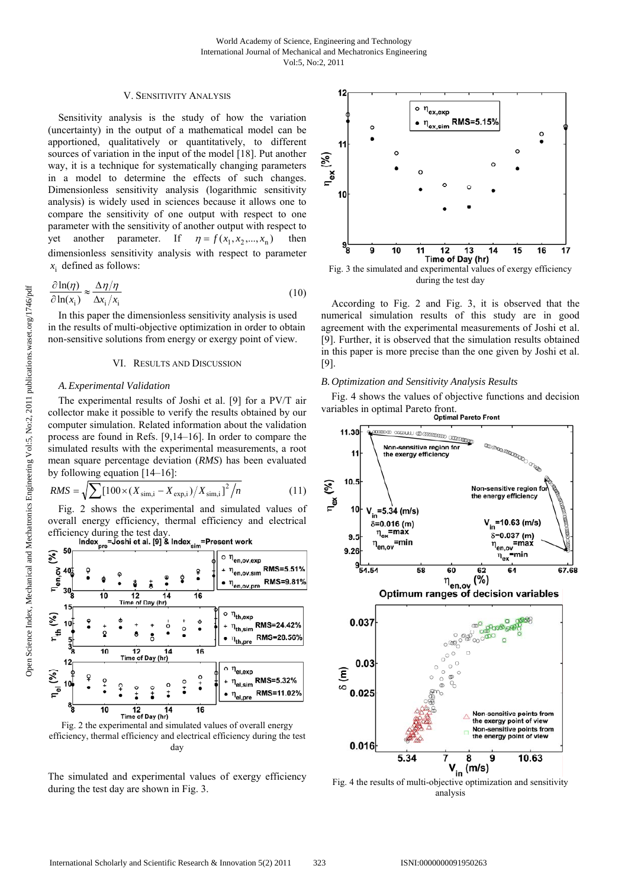#### V. SENSITIVITY ANALYSIS

Sensitivity analysis is the study of how the variation (uncertainty) in the output of a mathematical model can be apportioned, qualitatively or quantitatively, to different sources of variation in the input of the model [18]. Put another way, it is a technique for systematically changing parameters in a model to determine the effects of such changes. Dimensionless sensitivity analysis (logarithmic sensitivity analysis) is widely used in sciences because it allows one to compare the sensitivity of one output with respect to one parameter with the sensitivity of another output with respect to yet another parameter. If  $\eta = f(x_1, x_2, ..., x_n)$  then dimensionless sensitivity analysis with respect to parameter  $x_i$  defined as follows:

$$
\frac{\partial \ln(\eta)}{\partial \ln(x_i)} \approx \frac{\Delta \eta / \eta}{\Delta x_i / x_i} \tag{10}
$$

In this paper the dimensionless sensitivity analysis is used in the results of multi-objective optimization in order to obtain non-sensitive solutions from energy or exergy point of view.

#### VI. RESULTS AND DISCUSSION

#### *A.Experimental Validation*

The experimental results of Joshi et al. [9] for a PV/T air collector make it possible to verify the results obtained by our computer simulation. Related information about the validation process are found in Refs. [9,14–16]. In order to compare the simulated results with the experimental measurements, a root mean square percentage deviation (*RMS*) has been evaluated by following equation [14–16]:

$$
RMS = \sqrt{\sum [100 \times (X_{\text{sim,i}} - X_{\text{exp,i}})/X_{\text{sim,i}}]^2 / n}
$$
 (11)

Fig. 2 shows the experimental and simulated values of overall energy efficiency, thermal efficiency and electrical efficiency during the test day.<br>Index<sub>pre</sub>=Joshi et al. [9] & Index<sub>sim</sub> =Present work



efficiency, thermal efficiency and electrical efficiency during the test day

The simulated and experimental values of exergy efficiency during the test day are shown in Fig. 3.



Fig. 3 the simulated and experimental values of exergy efficiency during the test day

According to Fig. 2 and Fig. 3, it is observed that the numerical simulation results of this study are in good agreement with the experimental measurements of Joshi et al. [9]. Further, it is observed that the simulation results obtained in this paper is more precise than the one given by Joshi et al. [9].

# *B.Optimization and Sensitivity Analysis Results*

Fig. 4 shows the values of objective functions and decision variables in optimal Pareto front.



Fig. 4 the results of multi-objective optimization and sensitivity analysis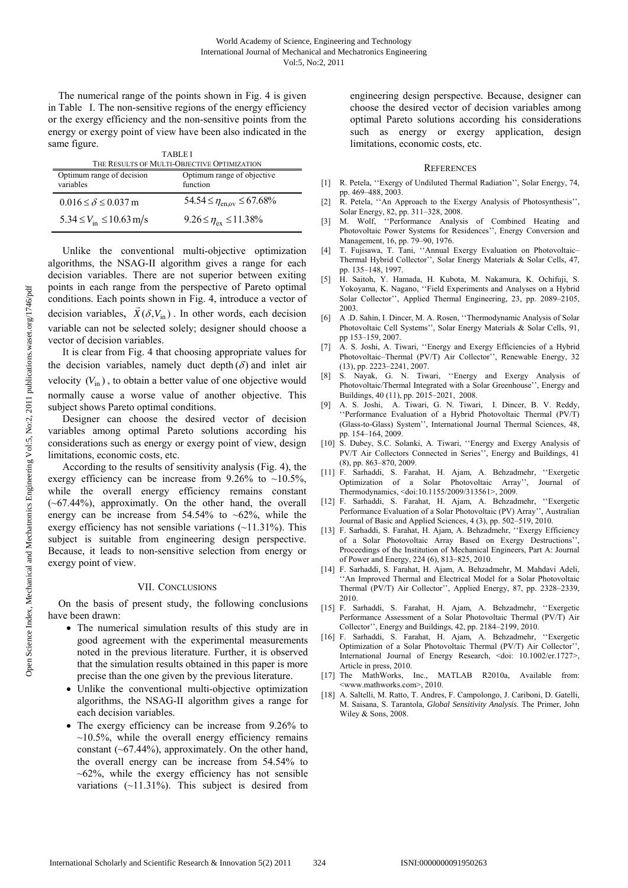The numerical range of the points shown in Fig. 4 is given in Table I. The non-sensitive regions of the energy efficiency or the exergy efficiency and the non-sensitive points from the energy or exergy point of view have been also indicated in the same figure.

| <b>TABLEI</b><br>THE RESULTS OF MULTI-OBJECTIVE OPTIMIZATION |                                               |
|--------------------------------------------------------------|-----------------------------------------------|
| Optimum range of decision<br>variables                       | Optimum range of objective<br>function        |
| $0.016 \le \delta \le 0.037$ m                               | $54.54 \leq \eta_{\text{en},ov} \leq 67.68\%$ |
| $5.34 \le V_{\text{in}} \le 10.63 \text{ m/s}$               | $9.26 \leq \eta_{\text{ex}} \leq 11.38\%$     |

Unlike the conventional multi-objective optimization algorithms, the NSAG-II algorithm gives a range for each decision variables. There are not superior between exiting points in each range from the perspective of Pareto optimal conditions. Each points shown in Fig. 4, introduce a vector of decision variables,  $\vec{X}(\delta, V_{\text{in}})$ . In other words, each decision variable can not be selected solely; designer should choose a vector of decision variables.

It is clear from Fig. 4 that choosing appropriate values for the decision variables, namely duct depth  $(\delta)$  and inlet air velocity  $(V_{in})$ , to obtain a better value of one objective would normally cause a worse value of another objective. This subject shows Pareto optimal conditions.

Designer can choose the desired vector of decision variables among optimal Pareto solutions according his considerations such as energy or exergy point of view, design limitations, economic costs, etc.

According to the results of sensitivity analysis (Fig. 4), the exergy efficiency can be increase from  $9.26\%$  to  $\sim 10.5\%$ , while the overall energy efficiency remains constant  $(-67.44\%)$ , approximatly. On the other hand, the overall energy can be increase from  $54.54\%$  to  $\sim 62\%$ , while the exergy efficiency has not sensible variations  $(\sim 11.31\%)$ . This subject is suitable from engineering design perspective. Because, it leads to non-sensitive selection from energy or exergy point of view.

### VII. CONCLUSIONS

On the basis of present study, the following conclusions have been drawn:

- The numerical simulation results of this study are in good agreement with the experimental measurements noted in the previous literature. Further, it is observed that the simulation results obtained in this paper is more precise than the one given by the previous literature.
- Unlike the conventional multi-objective optimization algorithms, the NSAG-II algorithm gives a range for each decision variables.
- The exergy efficiency can be increase from 9.26% to  $\sim$ 10.5%, while the overall energy efficiency remains constant  $(-67.44\%)$ , approximately. On the other hand, the overall energy can be increase from 54.54% to  $\sim 62\%$ , while the exergy efficiency has not sensible variations  $(\sim 11.31\%)$ . This subject is desired from

engineering design perspective. Because, designer can choose the desired vector of decision variables among optimal Pareto solutions according his considerations such as energy or exergy application, design limitations, economic costs, etc.

### **REFERENCES**

- [1] R. Petela, ''Exergy of Undiluted Thermal Radiation'', Solar Energy, 74, pp. 469–488, 2003.
- [2] R. Petela, "An Approach to the Exergy Analysis of Photosynthesis", Solar Energy, 82, pp. 311–328, 2008.
- [3] M. Wolf, ''Performance Analysis of Combined Heating and Photovoltaic Power Systems for Residences'', Energy Conversion and Management, 16, pp. 79–90, 1976.
- [4] T. Fujisawa, T. Tani, ''Annual Exergy Evaluation on Photovoltaic– Thermal Hybrid Collector'', Solar Energy Materials & Solar Cells, 47, pp. 135–148, 1997.
- [5] H. Saitoh, Y. Hamada, H. Kubota, M. Nakamura, K. Ochifuji, S. Yokoyama, K. Nagano, ''Field Experiments and Analyses on a Hybrid Solar Collector'', Applied Thermal Engineering, 23, pp. 2089–2105, 2003.
- [6] A .D. Sahin, I. Dincer, M. A. Rosen, ''Thermodynamic Analysis of Solar Photovoltaic Cell Systems'', Solar Energy Materials & Solar Cells, 91, pp 153–159, 2007.
- [7] A. S. Joshi, A. Tiwari, ''Energy and Exergy Efficiencies of a Hybrid Photovoltaic–Thermal (PV/T) Air Collector'', Renewable Energy, 32 (13), pp. 2223–2241, 2007.
- [8] S. Nayak, G. N. Tiwari, ''Energy and Exergy Analysis of Photovoltaic/Thermal Integrated with a Solar Greenhouse'', Energy and Buildings, 40 (11), pp. 2015–2021, 2008.
- [9] A. S. Joshi, A. Tiwari, G. N. Tiwari, I. Dincer, B. V. Reddy, ''Performance Evaluation of a Hybrid Photovoltaic Thermal (PV/T) (Glass-to-Glass) System'', International Journal Thermal Sciences, 48, pp. 154–164, 2009.
- [10] S. Dubey, S.C. Solanki, A. Tiwari, ''Energy and Exergy Analysis of PV/T Air Collectors Connected in Series'', Energy and Buildings, 41 (8), pp. 863–870, 2009.
- [11] F. Sarhaddi, S. Farahat, H. Ajam, A. Behzadmehr, ''Exergetic Optimization of a Solar Photovoltaic Array'', Journal of Thermodynamics, <doi:10.1155/2009/313561>, 2009.
- [12] F. Sarhaddi, S. Farahat, H. Ajam, A. Behzadmehr, ''Exergetic Performance Evaluation of a Solar Photovoltaic (PV) Array'', Australian Journal of Basic and Applied Sciences, 4 (3), pp. 502–519, 2010.
- [13] F. Sarhaddi, S. Farahat, H. Ajam, A. Behzadmehr, "Exergy Efficiency of a Solar Photovoltaic Array Based on Exergy Destructions'', Proceedings of the Institution of Mechanical Engineers, Part A: Journal of Power and Energy, 224 (6), 813–825, 2010.
- [14] F. Sarhaddi, S. Farahat, H. Ajam, A. Behzadmehr, M. Mahdavi Adeli, ''An Improved Thermal and Electrical Model for a Solar Photovoltaic Thermal (PV/T) Air Collector'', Applied Energy, 87, pp. 2328–2339, 2010.
- [15] F. Sarhaddi, S. Farahat, H. Ajam, A. Behzadmehr, ''Exergetic Performance Assessment of a Solar Photovoltaic Thermal (PV/T) Air Collector'', Energy and Buildings, 42, pp. 2184–2199, 2010.
- [16] F. Sarhaddi, S. Farahat, H. Ajam, A. Behzadmehr, ''Exergetic Optimization of a Solar Photovoltaic Thermal (PV/T) Air Collector'', International Journal of Energy Research, <doi: 10.1002/er.1727>, Article in press, 2010.
- [17] The MathWorks, Inc., MATLAB R2010a, Available from: <www.mathworks.com>, 2010.
- [18] A. Saltelli, M. Ratto, T. Andres, F. Campolongo, J. Cariboni, D. Gatelli, M. Saisana, S. Tarantola, *Global Sensitivity Analysis*. The Primer, John Wiley & Sons, 2008.